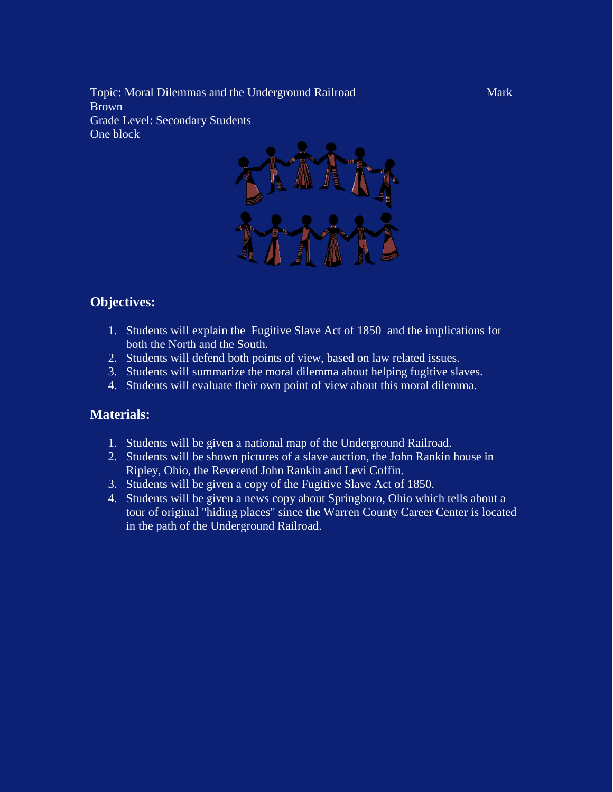Topic: Moral Dilemmas and the Underground Railroad Mark **Brown** Grade Level: Secondary Students One block



#### **Objectives:**

- 1. Students will explain the Fugitive Slave Act of 1850 and the implications for both the North and the South.
- 2. Students will defend both points of view, based on law related issues.
- 3. Students will summarize the moral dilemma about helping fugitive slaves.
- 4. Students will evaluate their own point of view about this moral dilemma.

#### **Materials:**

- 1. Students will be given a national map of the Underground Railroad.
- 2. Students will be shown pictures of a slave auction, the John Rankin house in Ripley, Ohio, the Reverend John Rankin and Levi Coffin.
- 3. Students will be given a copy of the Fugitive Slave Act of 1850.
- 4. Students will be given a news copy about Springboro, Ohio which tells about a tour of original "hiding places" since the Warren County Career Center is located in the path of the Underground Railroad.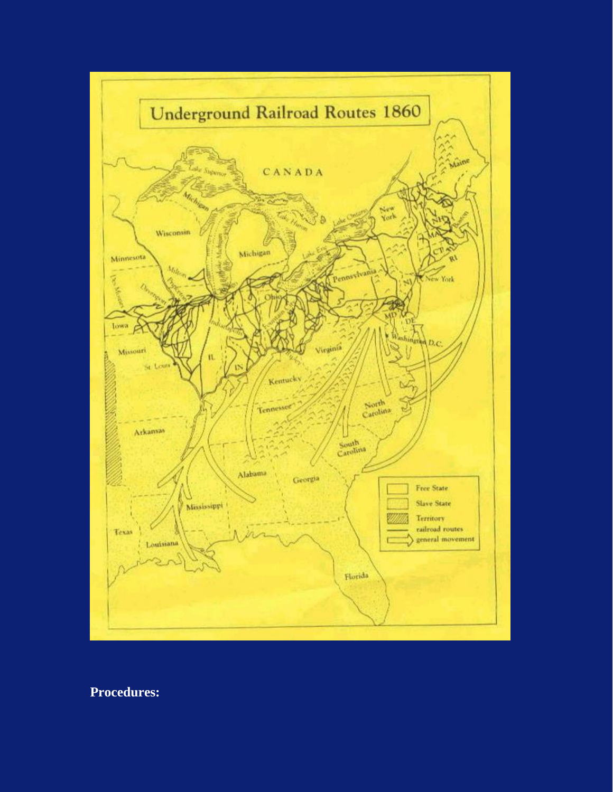

## **Procedures:**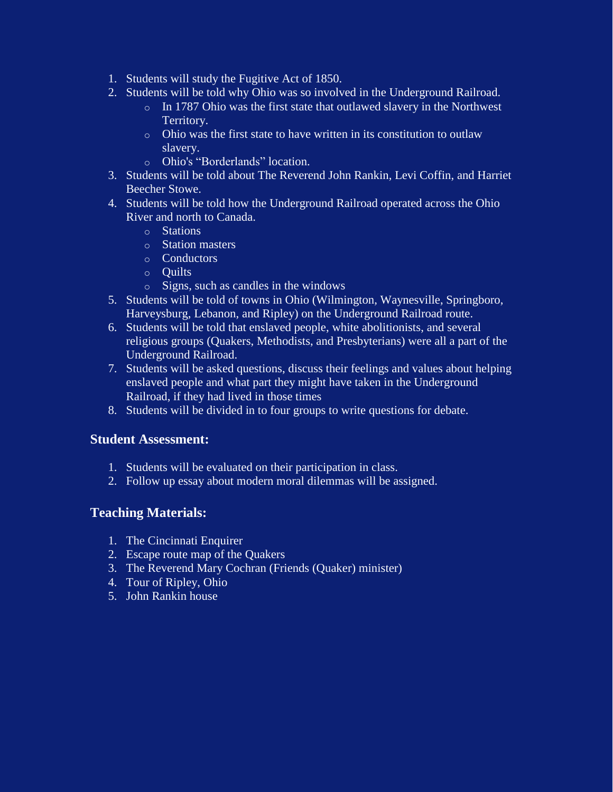- 1. Students will study the Fugitive Act of 1850.
- 2. Students will be told why Ohio was so involved in the Underground Railroad.
	- o In 1787 Ohio was the first state that outlawed slavery in the Northwest Territory.
	- o Ohio was the first state to have written in its constitution to outlaw slavery.
	- o Ohio's "Borderlands" location.
- 3. Students will be told about The Reverend John Rankin, Levi Coffin, and Harriet Beecher Stowe.
- 4. Students will be told how the Underground Railroad operated across the Ohio River and north to Canada.
	- o Stations
	- o Station masters
	- o Conductors
	- o Quilts
	- o Signs, such as candles in the windows
- 5. Students will be told of towns in Ohio (Wilmington, Waynesville, Springboro, Harveysburg, Lebanon, and Ripley) on the Underground Railroad route.
- 6. Students will be told that enslaved people, white abolitionists, and several religious groups (Quakers, Methodists, and Presbyterians) were all a part of the Underground Railroad.
- 7. Students will be asked questions, discuss their feelings and values about helping enslaved people and what part they might have taken in the Underground Railroad, if they had lived in those times
- 8. Students will be divided in to four groups to write questions for debate.

## **Student Assessment:**

- 1. Students will be evaluated on their participation in class.
- 2. Follow up essay about modern moral dilemmas will be assigned.

## **Teaching Materials:**

- 1. The Cincinnati Enquirer
- 2. Escape route map of the Quakers
- 3. The Reverend Mary Cochran (Friends (Quaker) minister)
- 4. Tour of Ripley, Ohio
- 5. John Rankin house